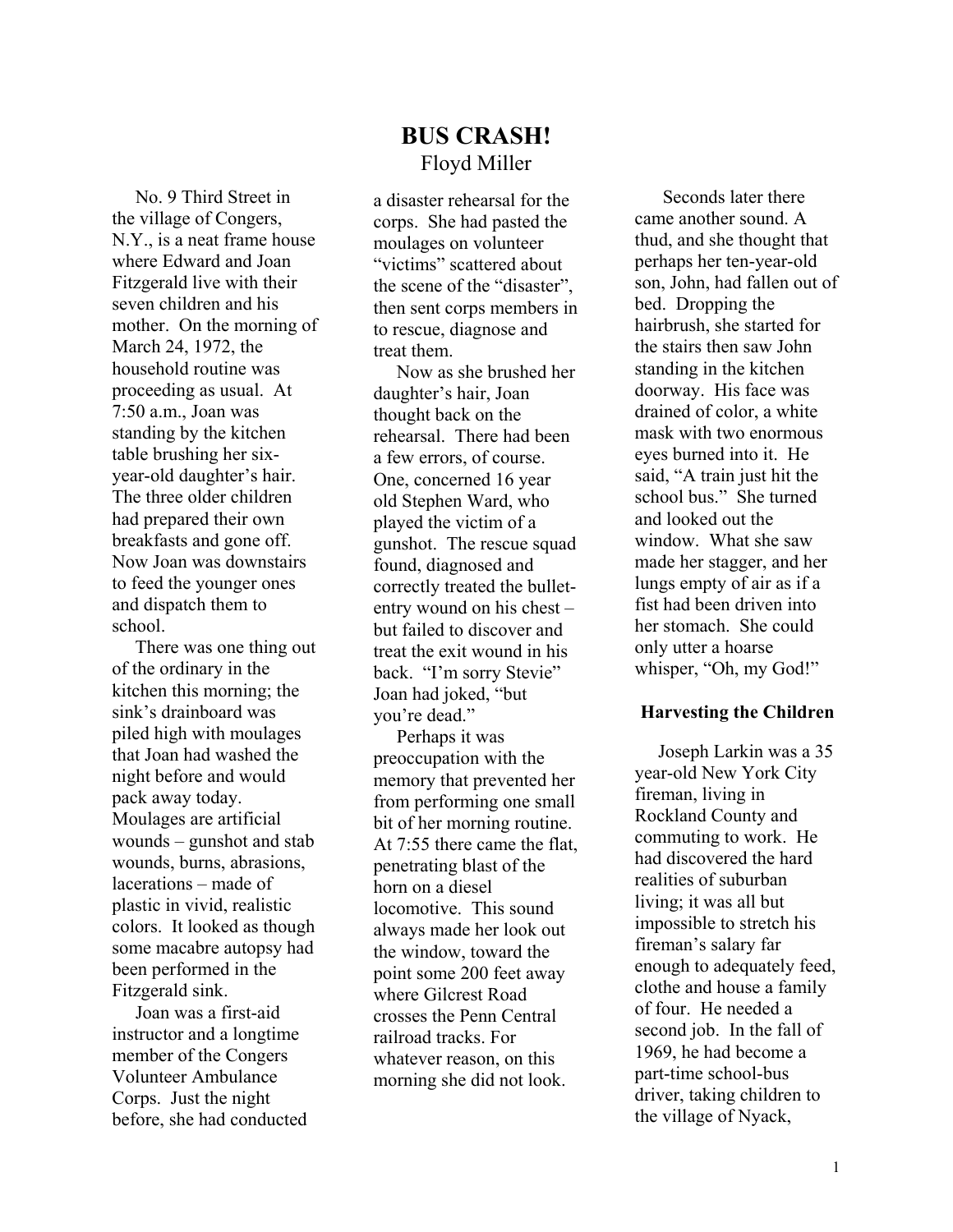# **BUS CRASH!**  Floyd Miller

 No. 9 Third Street in the village of Congers, N.Y., is a neat frame house where Edward and Joan Fitzgerald live with their seven children and his mother. On the morning of March 24, 1972, the household routine was proceeding as usual. At 7:50 a.m., Joan was standing by the kitchen table brushing her sixyear-old daughter's hair. The three older children had prepared their own breakfasts and gone off. Now Joan was downstairs to feed the younger ones and dispatch them to school.

 There was one thing out of the ordinary in the kitchen this morning; the sink's drainboard was piled high with moulages that Joan had washed the night before and would pack away today. Moulages are artificial wounds – gunshot and stab wounds, burns, abrasions, lacerations – made of plastic in vivid, realistic colors. It looked as though some macabre autopsy had been performed in the Fitzgerald sink.

 Joan was a first-aid instructor and a longtime member of the Congers Volunteer Ambulance Corps. Just the night before, she had conducted

a disaster rehearsal for the corps. She had pasted the moulages on volunteer "victims" scattered about the scene of the "disaster", then sent corps members in to rescue, diagnose and treat them.

 Now as she brushed her daughter's hair, Joan thought back on the rehearsal. There had been a few errors, of course. One, concerned 16 year old Stephen Ward, who played the victim of a gunshot. The rescue squad found, diagnosed and correctly treated the bulletentry wound on his chest – but failed to discover and treat the exit wound in his back. "I'm sorry Stevie" Joan had joked, "but you're dead."

 Perhaps it was preoccupation with the memory that prevented her from performing one small bit of her morning routine. At 7:55 there came the flat, penetrating blast of the horn on a diesel locomotive. This sound always made her look out the window, toward the point some 200 feet away where Gilcrest Road crosses the Penn Central railroad tracks. For whatever reason, on this morning she did not look.

 Seconds later there came another sound. A thud, and she thought that perhaps her ten-year-old son, John, had fallen out of bed. Dropping the hairbrush, she started for the stairs then saw John standing in the kitchen doorway. His face was drained of color, a white mask with two enormous eyes burned into it. He said, "A train just hit the school bus." She turned and looked out the window. What she saw made her stagger, and her lungs empty of air as if a fist had been driven into her stomach. She could only utter a hoarse whisper, "Oh, my God!"

#### **Harvesting the Children**

 Joseph Larkin was a 35 year-old New York City fireman, living in Rockland County and commuting to work. He had discovered the hard realities of suburban living; it was all but impossible to stretch his fireman's salary far enough to adequately feed, clothe and house a family of four. He needed a second job. In the fall of 1969, he had become a part-time school-bus driver, taking children to the village of Nyack,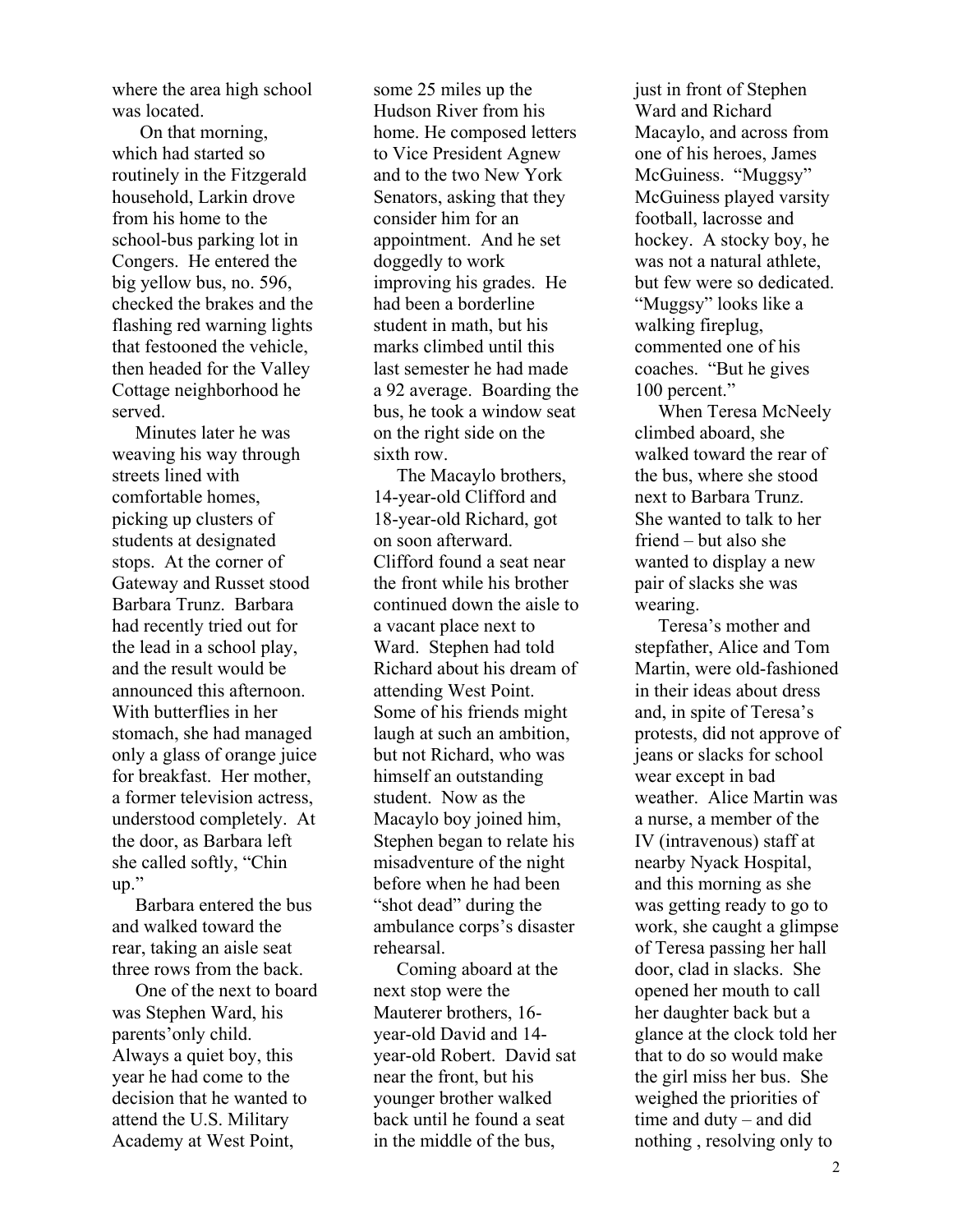where the area high school was located.

 On that morning, which had started so routinely in the Fitzgerald household, Larkin drove from his home to the school-bus parking lot in Congers. He entered the big yellow bus, no. 596, checked the brakes and the flashing red warning lights that festooned the vehicle, then headed for the Valley Cottage neighborhood he served.

 Minutes later he was weaving his way through streets lined with comfortable homes, picking up clusters of students at designated stops. At the corner of Gateway and Russet stood Barbara Trunz. Barbara had recently tried out for the lead in a school play, and the result would be announced this afternoon. With butterflies in her stomach, she had managed only a glass of orange juice for breakfast. Her mother, a former television actress, understood completely. At the door, as Barbara left she called softly, "Chin up."

 Barbara entered the bus and walked toward the rear, taking an aisle seat three rows from the back.

 One of the next to board was Stephen Ward, his parents'only child. Always a quiet boy, this year he had come to the decision that he wanted to attend the U.S. Military Academy at West Point,

some 25 miles up the Hudson River from his home. He composed letters to Vice President Agnew and to the two New York Senators, asking that they consider him for an appointment. And he set doggedly to work improving his grades. He had been a borderline student in math, but his marks climbed until this last semester he had made a 92 average. Boarding the bus, he took a window seat on the right side on the sixth row.

 The Macaylo brothers, 14-year-old Clifford and 18-year-old Richard, got on soon afterward. Clifford found a seat near the front while his brother continued down the aisle to a vacant place next to Ward. Stephen had told Richard about his dream of attending West Point. Some of his friends might laugh at such an ambition, but not Richard, who was himself an outstanding student. Now as the Macaylo boy joined him, Stephen began to relate his misadventure of the night before when he had been "shot dead" during the ambulance corps's disaster rehearsal.

 Coming aboard at the next stop were the Mauterer brothers, 16 year-old David and 14 year-old Robert. David sat near the front, but his younger brother walked back until he found a seat in the middle of the bus,

just in front of Stephen Ward and Richard Macaylo, and across from one of his heroes, James McGuiness. "Muggsy" McGuiness played varsity football, lacrosse and hockey. A stocky boy, he was not a natural athlete, but few were so dedicated. "Muggsy" looks like a walking fireplug, commented one of his coaches. "But he gives 100 percent."

 When Teresa McNeely climbed aboard, she walked toward the rear of the bus, where she stood next to Barbara Trunz. She wanted to talk to her friend – but also she wanted to display a new pair of slacks she was wearing.

 Teresa's mother and stepfather, Alice and Tom Martin, were old-fashioned in their ideas about dress and, in spite of Teresa's protests, did not approve of jeans or slacks for school wear except in bad weather. Alice Martin was a nurse, a member of the IV (intravenous) staff at nearby Nyack Hospital, and this morning as she was getting ready to go to work, she caught a glimpse of Teresa passing her hall door, clad in slacks. She opened her mouth to call her daughter back but a glance at the clock told her that to do so would make the girl miss her bus. She weighed the priorities of time and duty – and did nothing , resolving only to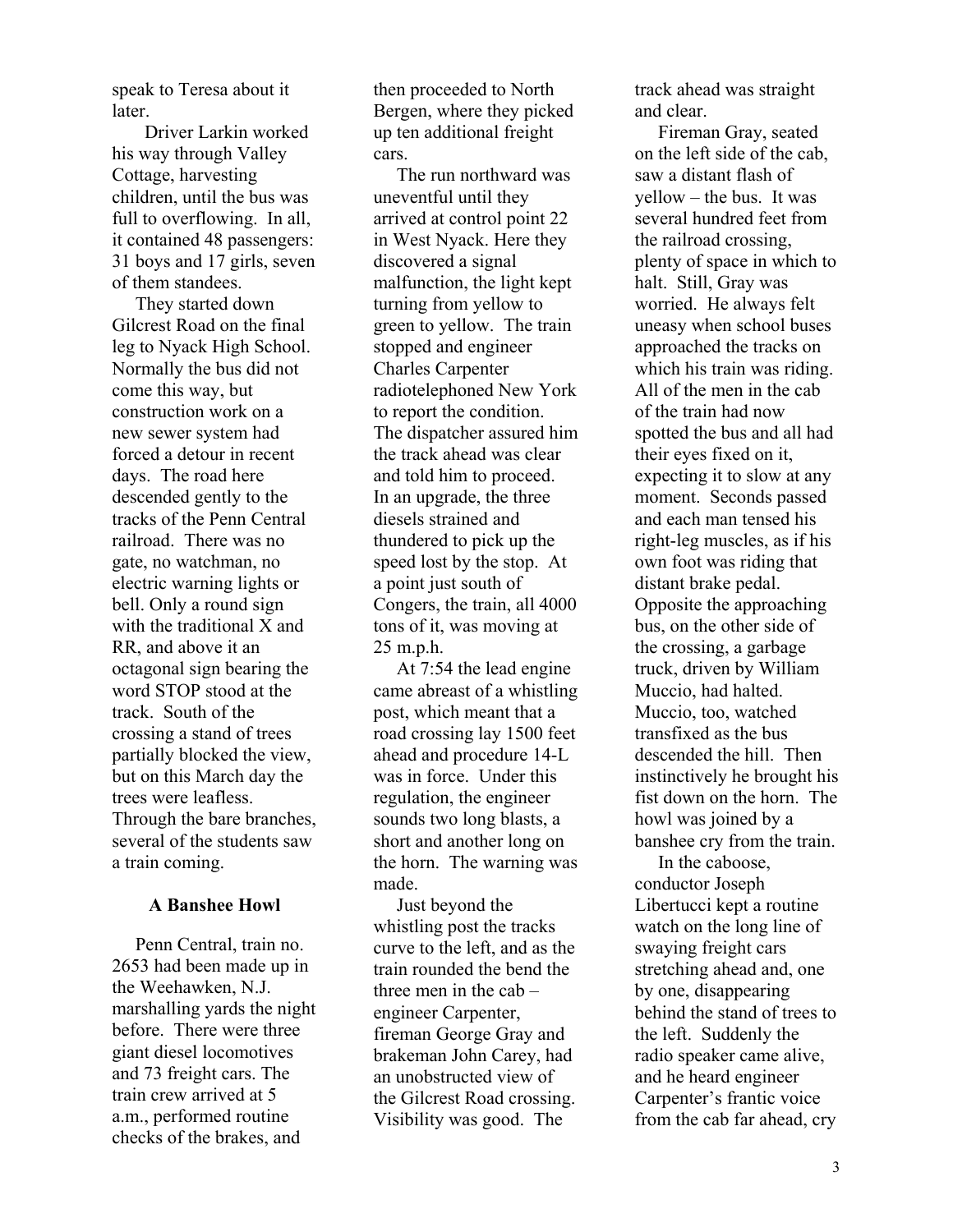speak to Teresa about it later.

 Driver Larkin worked his way through Valley Cottage, harvesting children, until the bus was full to overflowing. In all, it contained 48 passengers: 31 boys and 17 girls, seven of them standees.

 They started down Gilcrest Road on the final leg to Nyack High School. Normally the bus did not come this way, but construction work on a new sewer system had forced a detour in recent days. The road here descended gently to the tracks of the Penn Central railroad. There was no gate, no watchman, no electric warning lights or bell. Only a round sign with the traditional X and RR, and above it an octagonal sign bearing the word STOP stood at the track. South of the crossing a stand of trees partially blocked the view, but on this March day the trees were leafless. Through the bare branches, several of the students saw a train coming.

#### **A Banshee Howl**

 Penn Central, train no. 2653 had been made up in the Weehawken, N.J. marshalling yards the night before. There were three giant diesel locomotives and 73 freight cars. The train crew arrived at 5 a.m., performed routine checks of the brakes, and

then proceeded to North Bergen, where they picked up ten additional freight cars.

 The run northward was uneventful until they arrived at control point 22 in West Nyack. Here they discovered a signal malfunction, the light kept turning from yellow to green to yellow. The train stopped and engineer Charles Carpenter radiotelephoned New York to report the condition. The dispatcher assured him the track ahead was clear and told him to proceed. In an upgrade, the three diesels strained and thundered to pick up the speed lost by the stop. At a point just south of Congers, the train, all 4000 tons of it, was moving at 25 m.p.h.

 At 7:54 the lead engine came abreast of a whistling post, which meant that a road crossing lay 1500 feet ahead and procedure 14-L was in force. Under this regulation, the engineer sounds two long blasts, a short and another long on the horn. The warning was made.

 Just beyond the whistling post the tracks curve to the left, and as the train rounded the bend the three men in the cab – engineer Carpenter, fireman George Gray and brakeman John Carey, had an unobstructed view of the Gilcrest Road crossing. Visibility was good. The

track ahead was straight and clear.

 Fireman Gray, seated on the left side of the cab, saw a distant flash of yellow – the bus. It was several hundred feet from the railroad crossing, plenty of space in which to halt. Still, Gray was worried. He always felt uneasy when school buses approached the tracks on which his train was riding. All of the men in the cab of the train had now spotted the bus and all had their eyes fixed on it, expecting it to slow at any moment. Seconds passed and each man tensed his right-leg muscles, as if his own foot was riding that distant brake pedal. Opposite the approaching bus, on the other side of the crossing, a garbage truck, driven by William Muccio, had halted. Muccio, too, watched transfixed as the bus descended the hill. Then instinctively he brought his fist down on the horn. The howl was joined by a banshee cry from the train.

 In the caboose, conductor Joseph Libertucci kept a routine watch on the long line of swaying freight cars stretching ahead and, one by one, disappearing behind the stand of trees to the left. Suddenly the radio speaker came alive, and he heard engineer Carpenter's frantic voice from the cab far ahead, cry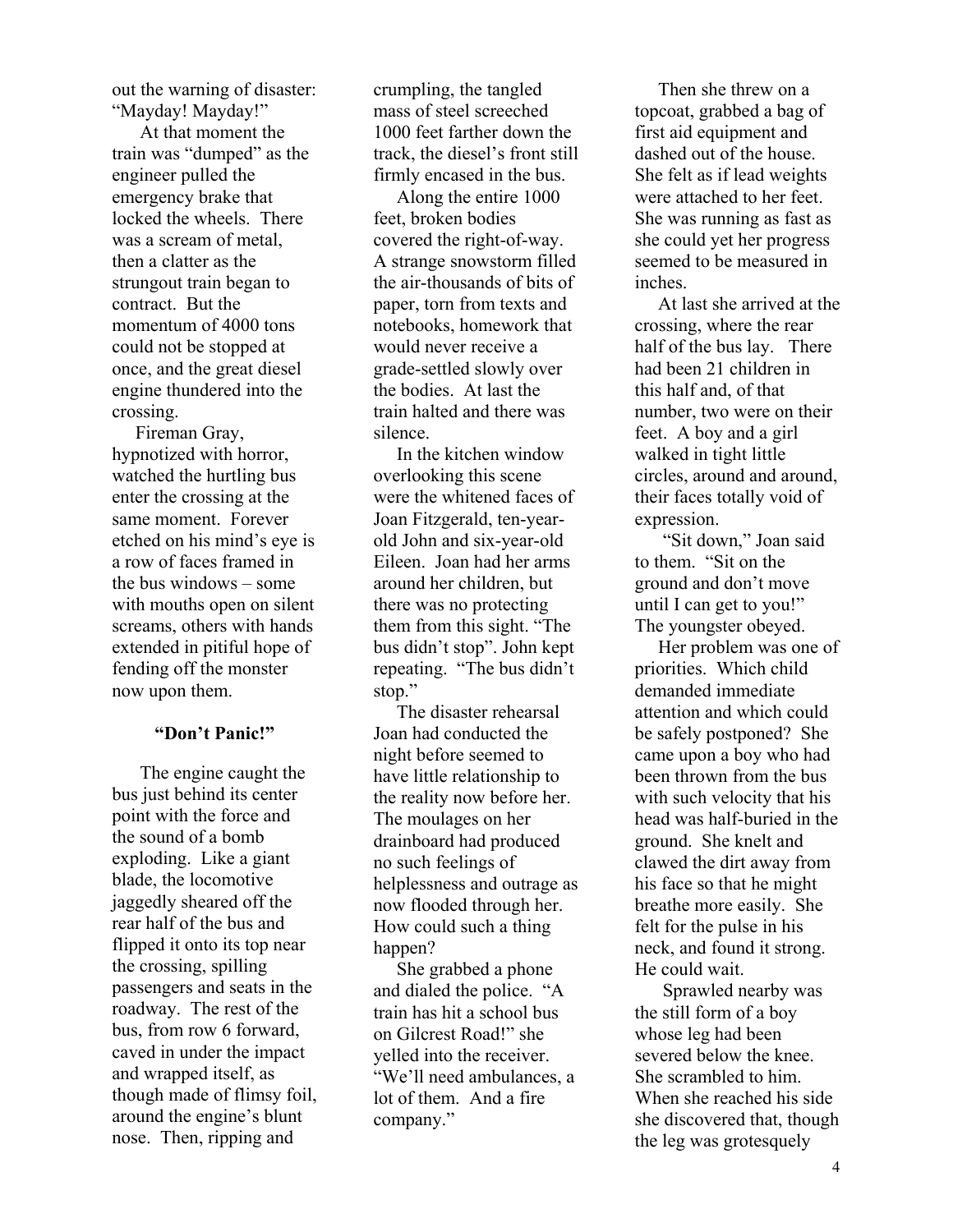out the warning of disaster: "Mayday! Mayday!"

 At that moment the train was "dumped" as the engineer pulled the emergency brake that locked the wheels. There was a scream of metal, then a clatter as the strungout train began to contract. But the momentum of 4000 tons could not be stopped at once, and the great diesel engine thundered into the crossing.

 Fireman Gray, hypnotized with horror, watched the hurtling bus enter the crossing at the same moment. Forever etched on his mind's eye is a row of faces framed in the bus windows – some with mouths open on silent screams, others with hands extended in pitiful hope of fending off the monster now upon them.

#### **"Don't Panic!"**

 The engine caught the bus just behind its center point with the force and the sound of a bomb exploding. Like a giant blade, the locomotive jaggedly sheared off the rear half of the bus and flipped it onto its top near the crossing, spilling passengers and seats in the roadway. The rest of the bus, from row 6 forward, caved in under the impact and wrapped itself, as though made of flimsy foil, around the engine's blunt nose. Then, ripping and

crumpling, the tangled mass of steel screeched 1000 feet farther down the track, the diesel's front still firmly encased in the bus.

 Along the entire 1000 feet, broken bodies covered the right-of-way. A strange snowstorm filled the air-thousands of bits of paper, torn from texts and notebooks, homework that would never receive a grade-settled slowly over the bodies. At last the train halted and there was silence.

 In the kitchen window overlooking this scene were the whitened faces of Joan Fitzgerald, ten-yearold John and six-year-old Eileen. Joan had her arms around her children, but there was no protecting them from this sight. "The bus didn't stop". John kept repeating. "The bus didn't stop."

 The disaster rehearsal Joan had conducted the night before seemed to have little relationship to the reality now before her. The moulages on her drainboard had produced no such feelings of helplessness and outrage as now flooded through her. How could such a thing happen?

 She grabbed a phone and dialed the police. "A train has hit a school bus on Gilcrest Road!" she yelled into the receiver. "We'll need ambulances, a lot of them. And a fire company."

 Then she threw on a topcoat, grabbed a bag of first aid equipment and dashed out of the house. She felt as if lead weights were attached to her feet. She was running as fast as she could yet her progress seemed to be measured in inches.

 At last she arrived at the crossing, where the rear half of the bus lay. There had been 21 children in this half and, of that number, two were on their feet. A boy and a girl walked in tight little circles, around and around, their faces totally void of expression.

 "Sit down," Joan said to them. "Sit on the ground and don't move until I can get to you!" The youngster obeyed.

 Her problem was one of priorities. Which child demanded immediate attention and which could be safely postponed? She came upon a boy who had been thrown from the bus with such velocity that his head was half-buried in the ground. She knelt and clawed the dirt away from his face so that he might breathe more easily. She felt for the pulse in his neck, and found it strong. He could wait.

 Sprawled nearby was the still form of a boy whose leg had been severed below the knee. She scrambled to him. When she reached his side she discovered that, though the leg was grotesquely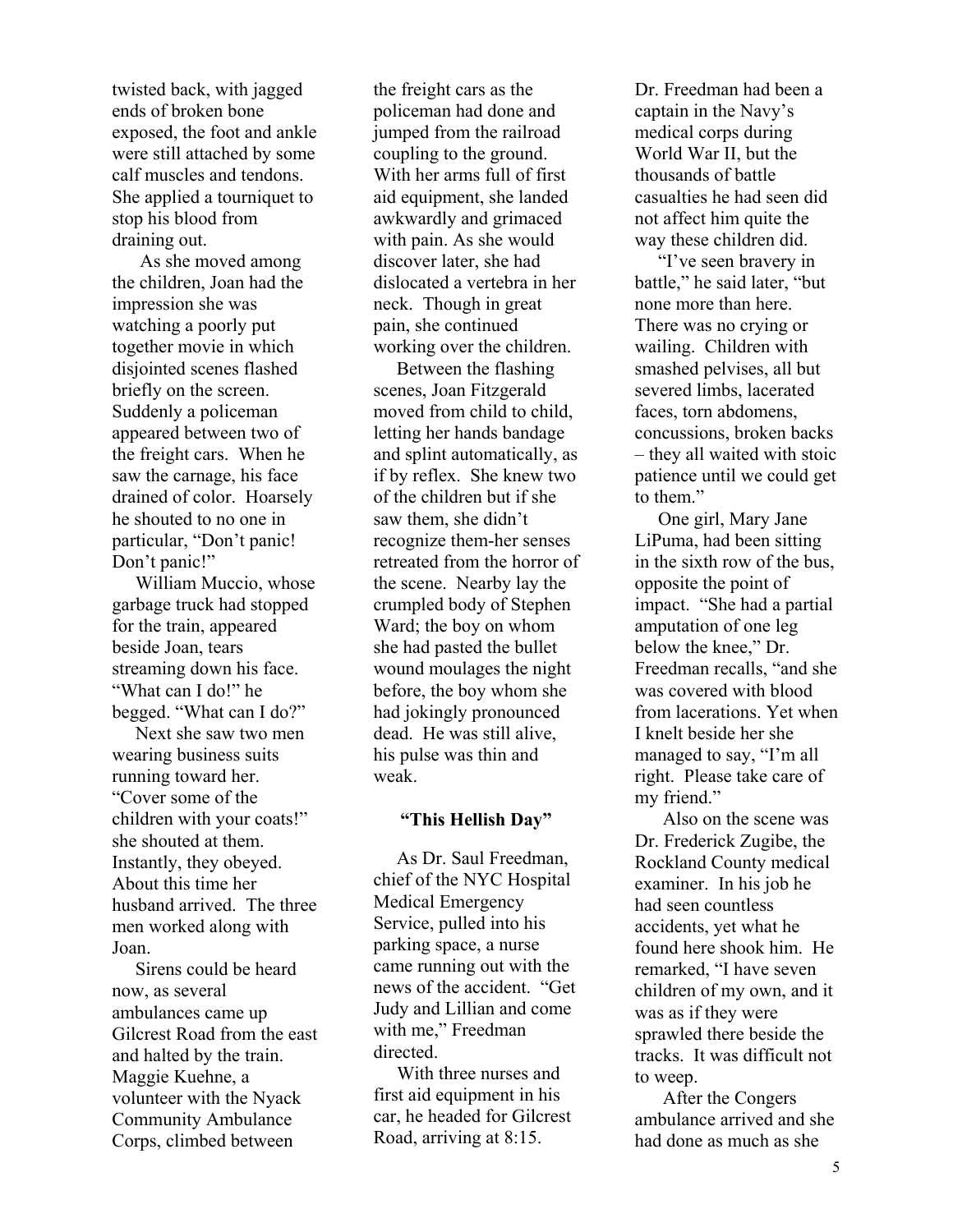twisted back, with jagged ends of broken bone exposed, the foot and ankle were still attached by some calf muscles and tendons. She applied a tourniquet to stop his blood from draining out.

 As she moved among the children, Joan had the impression she was watching a poorly put together movie in which disjointed scenes flashed briefly on the screen. Suddenly a policeman appeared between two of the freight cars. When he saw the carnage, his face drained of color. Hoarsely he shouted to no one in particular, "Don't panic! Don't panic!"

 William Muccio, whose garbage truck had stopped for the train, appeared beside Joan, tears streaming down his face. "What can I do!" he begged. "What can I do?"

 Next she saw two men wearing business suits running toward her. "Cover some of the children with your coats!" she shouted at them. Instantly, they obeyed. About this time her husband arrived. The three men worked along with Joan.

 Sirens could be heard now, as several ambulances came up Gilcrest Road from the east and halted by the train. Maggie Kuehne, a volunteer with the Nyack Community Ambulance Corps, climbed between

the freight cars as the policeman had done and jumped from the railroad coupling to the ground. With her arms full of first aid equipment, she landed awkwardly and grimaced with pain. As she would discover later, she had dislocated a vertebra in her neck. Though in great pain, she continued working over the children.

 Between the flashing scenes, Joan Fitzgerald moved from child to child, letting her hands bandage and splint automatically, as if by reflex. She knew two of the children but if she saw them, she didn't recognize them-her senses retreated from the horror of the scene. Nearby lay the crumpled body of Stephen Ward; the boy on whom she had pasted the bullet wound moulages the night before, the boy whom she had jokingly pronounced dead. He was still alive, his pulse was thin and weak.

#### **"This Hellish Day"**

 As Dr. Saul Freedman, chief of the NYC Hospital Medical Emergency Service, pulled into his parking space, a nurse came running out with the news of the accident. "Get Judy and Lillian and come with me," Freedman directed.

 With three nurses and first aid equipment in his car, he headed for Gilcrest Road, arriving at 8:15.

Dr. Freedman had been a captain in the Navy's medical corps during World War II, but the thousands of battle casualties he had seen did not affect him quite the way these children did.

 "I've seen bravery in battle," he said later, "but none more than here. There was no crying or wailing. Children with smashed pelvises, all but severed limbs, lacerated faces, torn abdomens, concussions, broken backs – they all waited with stoic patience until we could get to them."

 One girl, Mary Jane LiPuma, had been sitting in the sixth row of the bus, opposite the point of impact. "She had a partial amputation of one leg below the knee," Dr. Freedman recalls, "and she was covered with blood from lacerations. Yet when I knelt beside her she managed to say, "I'm all right. Please take care of my friend."

 Also on the scene was Dr. Frederick Zugibe, the Rockland County medical examiner. In his job he had seen countless accidents, yet what he found here shook him. He remarked, "I have seven children of my own, and it was as if they were sprawled there beside the tracks. It was difficult not to weep.

 After the Congers ambulance arrived and she had done as much as she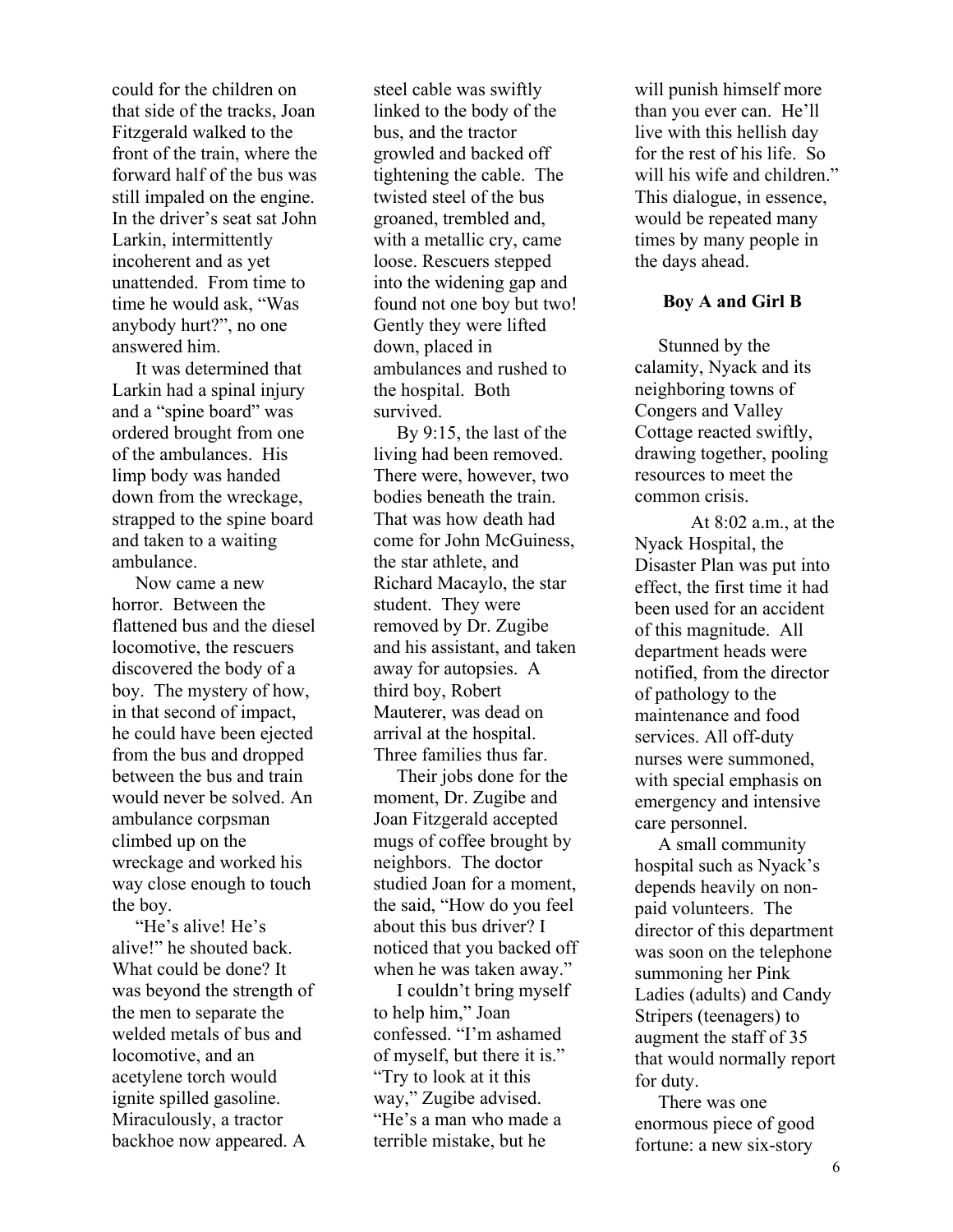could for the children on that side of the tracks, Joan Fitzgerald walked to the front of the train, where the forward half of the bus was still impaled on the engine. In the driver's seat sat John Larkin, intermittently incoherent and as yet unattended. From time to time he would ask, "Was anybody hurt?", no one answered him.

 It was determined that Larkin had a spinal injury and a "spine board" was ordered brought from one of the ambulances. His limp body was handed down from the wreckage, strapped to the spine board and taken to a waiting ambulance.

 Now came a new horror. Between the flattened bus and the diesel locomotive, the rescuers discovered the body of a boy. The mystery of how, in that second of impact, he could have been ejected from the bus and dropped between the bus and train would never be solved. An ambulance corpsman climbed up on the wreckage and worked his way close enough to touch the boy.

 "He's alive! He's alive!" he shouted back. What could be done? It was beyond the strength of the men to separate the welded metals of bus and locomotive, and an acetylene torch would ignite spilled gasoline. Miraculously, a tractor backhoe now appeared. A

steel cable was swiftly linked to the body of the bus, and the tractor growled and backed off tightening the cable. The twisted steel of the bus groaned, trembled and, with a metallic cry, came loose. Rescuers stepped into the widening gap and found not one boy but two! Gently they were lifted down, placed in ambulances and rushed to the hospital. Both survived.

 By 9:15, the last of the living had been removed. There were, however, two bodies beneath the train. That was how death had come for John McGuiness, the star athlete, and Richard Macaylo, the star student. They were removed by Dr. Zugibe and his assistant, and taken away for autopsies. A third boy, Robert Mauterer, was dead on arrival at the hospital. Three families thus far.

 Their jobs done for the moment, Dr. Zugibe and Joan Fitzgerald accepted mugs of coffee brought by neighbors. The doctor studied Joan for a moment, the said, "How do you feel about this bus driver? I noticed that you backed off when he was taken away."

 I couldn't bring myself to help him," Joan confessed. "I'm ashamed of myself, but there it is." "Try to look at it this way," Zugibe advised. "He's a man who made a terrible mistake, but he

will punish himself more than you ever can. He'll live with this hellish day for the rest of his life. So will his wife and children." This dialogue, in essence, would be repeated many times by many people in the days ahead.

#### **Boy A and Girl B**

 Stunned by the calamity, Nyack and its neighboring towns of Congers and Valley Cottage reacted swiftly, drawing together, pooling resources to meet the common crisis.

At 8:02 a.m., at the Nyack Hospital, the Disaster Plan was put into effect, the first time it had been used for an accident of this magnitude. All department heads were notified, from the director of pathology to the maintenance and food services. All off-duty nurses were summoned, with special emphasis on emergency and intensive care personnel.

 A small community hospital such as Nyack's depends heavily on nonpaid volunteers. The director of this department was soon on the telephone summoning her Pink Ladies (adults) and Candy Stripers (teenagers) to augment the staff of 35 that would normally report for duty.

 There was one enormous piece of good fortune: a new six-story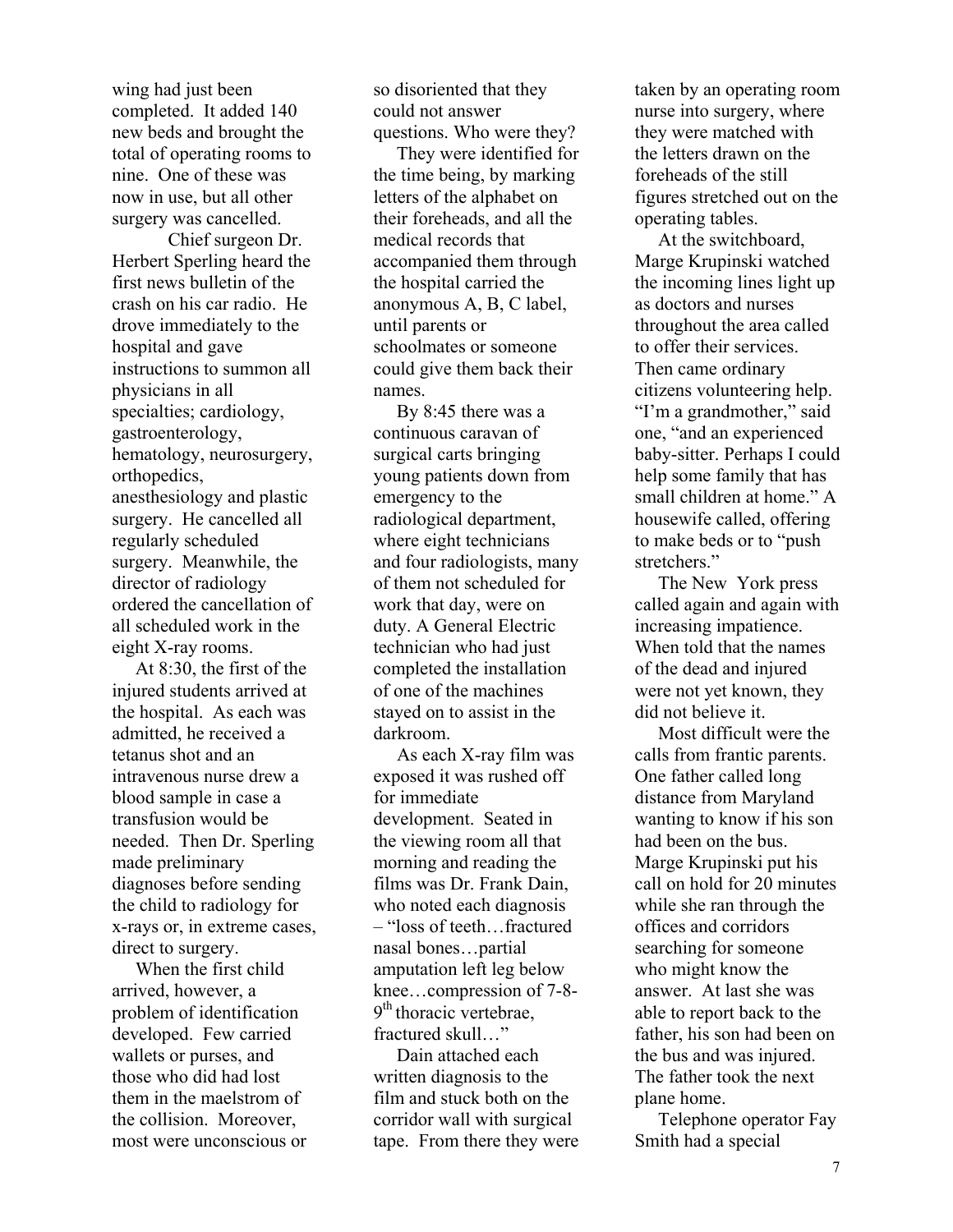wing had just been completed. It added 140 new beds and brought the total of operating rooms to nine. One of these was now in use, but all other surgery was cancelled.

Chief surgeon Dr. Herbert Sperling heard the first news bulletin of the crash on his car radio. He drove immediately to the hospital and gave instructions to summon all physicians in all specialties; cardiology, gastroenterology, hematology, neurosurgery, orthopedics, anesthesiology and plastic surgery. He cancelled all regularly scheduled surgery. Meanwhile, the director of radiology ordered the cancellation of all scheduled work in the eight X-ray rooms.

 At 8:30, the first of the injured students arrived at the hospital. As each was admitted, he received a tetanus shot and an intravenous nurse drew a blood sample in case a transfusion would be needed. Then Dr. Sperling made preliminary diagnoses before sending the child to radiology for x-rays or, in extreme cases, direct to surgery.

 When the first child arrived, however, a problem of identification developed. Few carried wallets or purses, and those who did had lost them in the maelstrom of the collision. Moreover, most were unconscious or so disoriented that they could not answer questions. Who were they?

 They were identified for the time being, by marking letters of the alphabet on their foreheads, and all the medical records that accompanied them through the hospital carried the anonymous A, B, C label, until parents or schoolmates or someone could give them back their names.

 By 8:45 there was a continuous caravan of surgical carts bringing young patients down from emergency to the radiological department, where eight technicians and four radiologists, many of them not scheduled for work that day, were on duty. A General Electric technician who had just completed the installation of one of the machines stayed on to assist in the darkroom.

 As each X-ray film was exposed it was rushed off for immediate development. Seated in the viewing room all that morning and reading the films was Dr. Frank Dain, who noted each diagnosis – "loss of teeth…fractured nasal bones…partial amputation left leg below knee…compression of 7-8-  $9<sup>th</sup>$  thoracic vertebrae, fractured skull…"

 Dain attached each written diagnosis to the film and stuck both on the corridor wall with surgical tape. From there they were taken by an operating room nurse into surgery, where they were matched with the letters drawn on the foreheads of the still figures stretched out on the operating tables.

 At the switchboard, Marge Krupinski watched the incoming lines light up as doctors and nurses throughout the area called to offer their services. Then came ordinary citizens volunteering help. "I'm a grandmother," said one, "and an experienced baby-sitter. Perhaps I could help some family that has small children at home." A housewife called, offering to make beds or to "push stretchers."

 The New York press called again and again with increasing impatience. When told that the names of the dead and injured were not yet known, they did not believe it.

 Most difficult were the calls from frantic parents. One father called long distance from Maryland wanting to know if his son had been on the bus. Marge Krupinski put his call on hold for 20 minutes while she ran through the offices and corridors searching for someone who might know the answer. At last she was able to report back to the father, his son had been on the bus and was injured. The father took the next plane home.

 Telephone operator Fay Smith had a special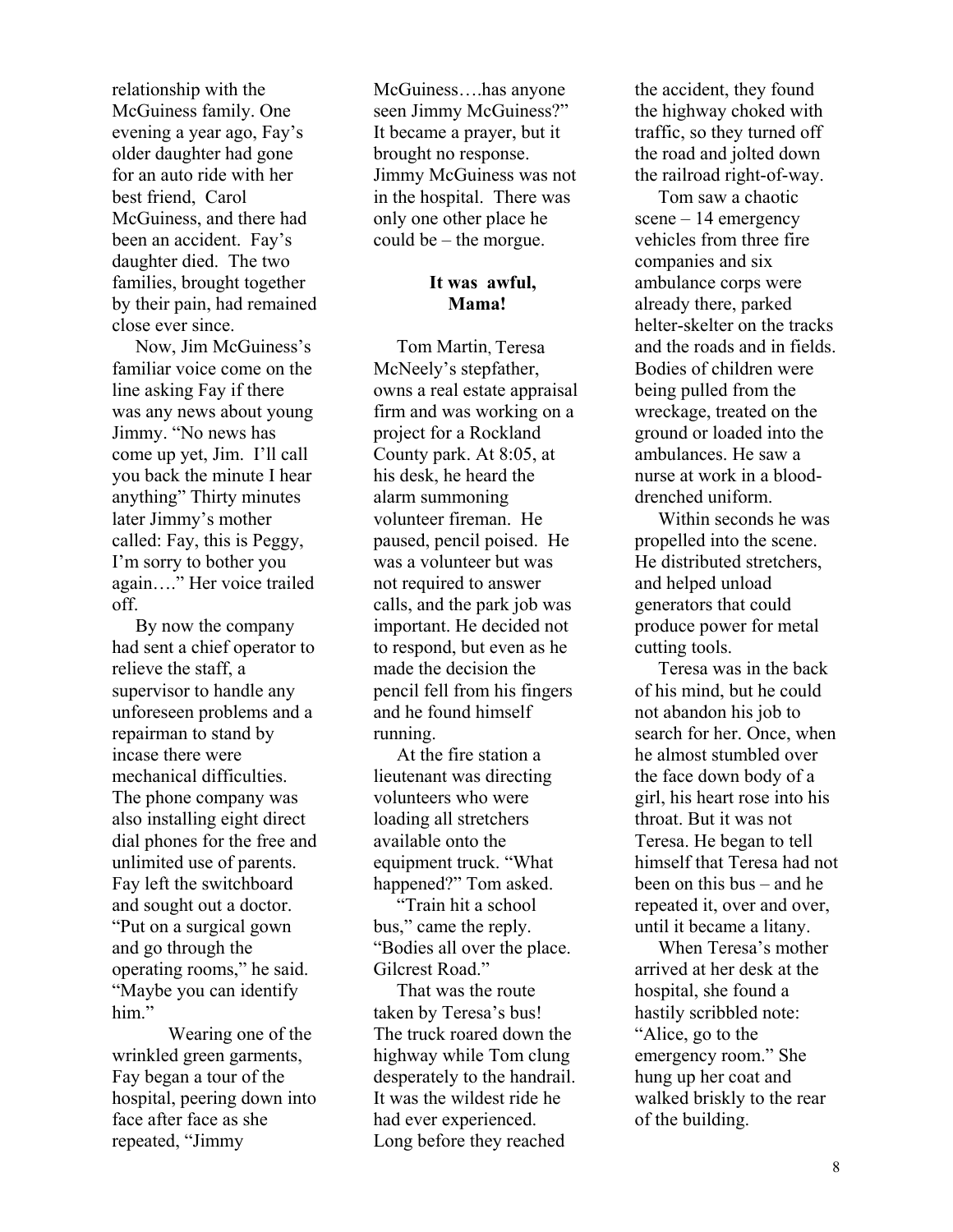relationship with the McGuiness family. One evening a year ago, Fay's older daughter had gone for an auto ride with her best friend, Carol McGuiness, and there had been an accident. Fay's daughter died. The two families, brought together by their pain, had remained close ever since.

 Now, Jim McGuiness's familiar voice come on the line asking Fay if there was any news about young Jimmy. "No news has come up yet, Jim. I'll call you back the minute I hear anything" Thirty minutes later Jimmy's mother called: Fay, this is Peggy, I'm sorry to bother you again…." Her voice trailed off.

 By now the company had sent a chief operator to relieve the staff, a supervisor to handle any unforeseen problems and a repairman to stand by incase there were mechanical difficulties. The phone company was also installing eight direct dial phones for the free and unlimited use of parents. Fay left the switchboard and sought out a doctor. "Put on a surgical gown and go through the operating rooms," he said. "Maybe you can identify him"

Wearing one of the wrinkled green garments, Fay began a tour of the hospital, peering down into face after face as she repeated, "Jimmy

McGuiness….has anyone seen Jimmy McGuiness?" It became a prayer, but it brought no response. Jimmy McGuiness was not in the hospital. There was only one other place he could be – the morgue.

# **It was awful, Mama!**

 Tom Martin, Teresa McNeely's stepfather, owns a real estate appraisal firm and was working on a project for a Rockland County park. At 8:05, at his desk, he heard the alarm summoning volunteer fireman. He paused, pencil poised. He was a volunteer but was not required to answer calls, and the park job was important. He decided not to respond, but even as he made the decision the pencil fell from his fingers and he found himself running.

 At the fire station a lieutenant was directing volunteers who were loading all stretchers available onto the equipment truck. "What happened?" Tom asked.

 "Train hit a school bus," came the reply. "Bodies all over the place. Gilcrest Road."

 That was the route taken by Teresa's bus! The truck roared down the highway while Tom clung desperately to the handrail. It was the wildest ride he had ever experienced. Long before they reached

the accident, they found the highway choked with traffic, so they turned off the road and jolted down the railroad right-of-way.

 Tom saw a chaotic scene – 14 emergency vehicles from three fire companies and six ambulance corps were already there, parked helter-skelter on the tracks and the roads and in fields. Bodies of children were being pulled from the wreckage, treated on the ground or loaded into the ambulances. He saw a nurse at work in a blooddrenched uniform.

 Within seconds he was propelled into the scene. He distributed stretchers, and helped unload generators that could produce power for metal cutting tools.

 Teresa was in the back of his mind, but he could not abandon his job to search for her. Once, when he almost stumbled over the face down body of a girl, his heart rose into his throat. But it was not Teresa. He began to tell himself that Teresa had not been on this bus – and he repeated it, over and over, until it became a litany.

 When Teresa's mother arrived at her desk at the hospital, she found a hastily scribbled note: "Alice, go to the emergency room." She hung up her coat and walked briskly to the rear of the building.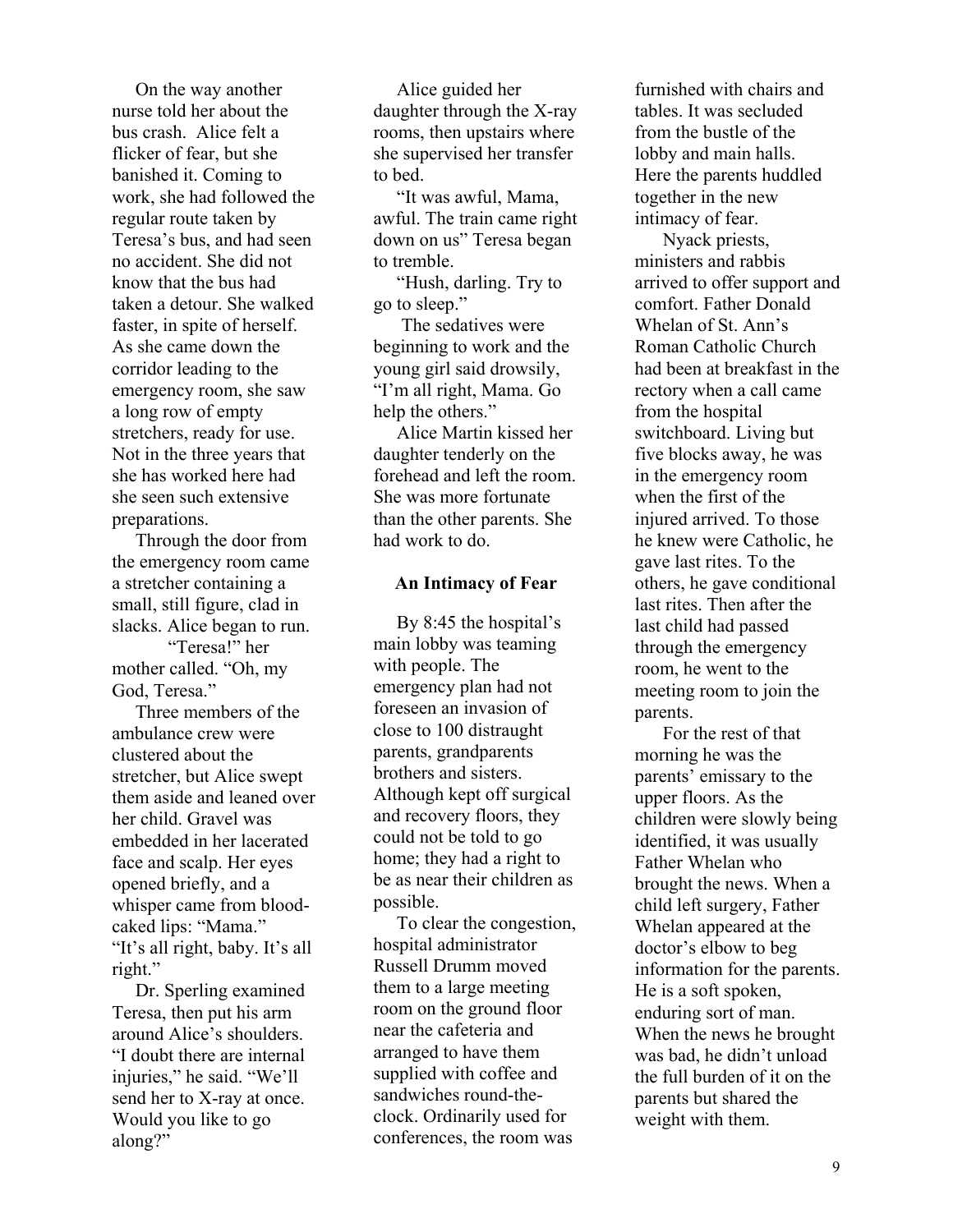On the way another nurse told her about the bus crash. Alice felt a flicker of fear, but she banished it. Coming to work, she had followed the regular route taken by Teresa's bus, and had seen no accident. She did not know that the bus had taken a detour. She walked faster, in spite of herself. As she came down the corridor leading to the emergency room, she saw a long row of empty stretchers, ready for use. Not in the three years that she has worked here had she seen such extensive preparations.

 Through the door from the emergency room came a stretcher containing a small, still figure, clad in slacks. Alice began to run.

"Teresa!" her mother called. "Oh, my God, Teresa."

 Three members of the ambulance crew were clustered about the stretcher, but Alice swept them aside and leaned over her child. Gravel was embedded in her lacerated face and scalp. Her eyes opened briefly, and a whisper came from bloodcaked lips: "Mama." "It's all right, baby. It's all right."

 Dr. Sperling examined Teresa, then put his arm around Alice's shoulders. "I doubt there are internal injuries," he said. "We'll send her to X-ray at once. Would you like to go along?"

 Alice guided her daughter through the X-ray rooms, then upstairs where she supervised her transfer to bed.

 "It was awful, Mama, awful. The train came right down on us" Teresa began to tremble.

 "Hush, darling. Try to go to sleep."

 The sedatives were beginning to work and the young girl said drowsily, "I'm all right, Mama. Go help the others."

 Alice Martin kissed her daughter tenderly on the forehead and left the room. She was more fortunate than the other parents. She had work to do.

#### **An Intimacy of Fear**

 By 8:45 the hospital's main lobby was teaming with people. The emergency plan had not foreseen an invasion of close to 100 distraught parents, grandparents brothers and sisters. Although kept off surgical and recovery floors, they could not be told to go home; they had a right to be as near their children as possible.

 To clear the congestion, hospital administrator Russell Drumm moved them to a large meeting room on the ground floor near the cafeteria and arranged to have them supplied with coffee and sandwiches round-theclock. Ordinarily used for conferences, the room was

furnished with chairs and tables. It was secluded from the bustle of the lobby and main halls. Here the parents huddled together in the new intimacy of fear.

 Nyack priests, ministers and rabbis arrived to offer support and comfort. Father Donald Whelan of St. Ann's Roman Catholic Church had been at breakfast in the rectory when a call came from the hospital switchboard. Living but five blocks away, he was in the emergency room when the first of the injured arrived. To those he knew were Catholic, he gave last rites. To the others, he gave conditional last rites. Then after the last child had passed through the emergency room, he went to the meeting room to join the parents.

 For the rest of that morning he was the parents' emissary to the upper floors. As the children were slowly being identified, it was usually Father Whelan who brought the news. When a child left surgery, Father Whelan appeared at the doctor's elbow to beg information for the parents. He is a soft spoken, enduring sort of man. When the news he brought was bad, he didn't unload the full burden of it on the parents but shared the weight with them.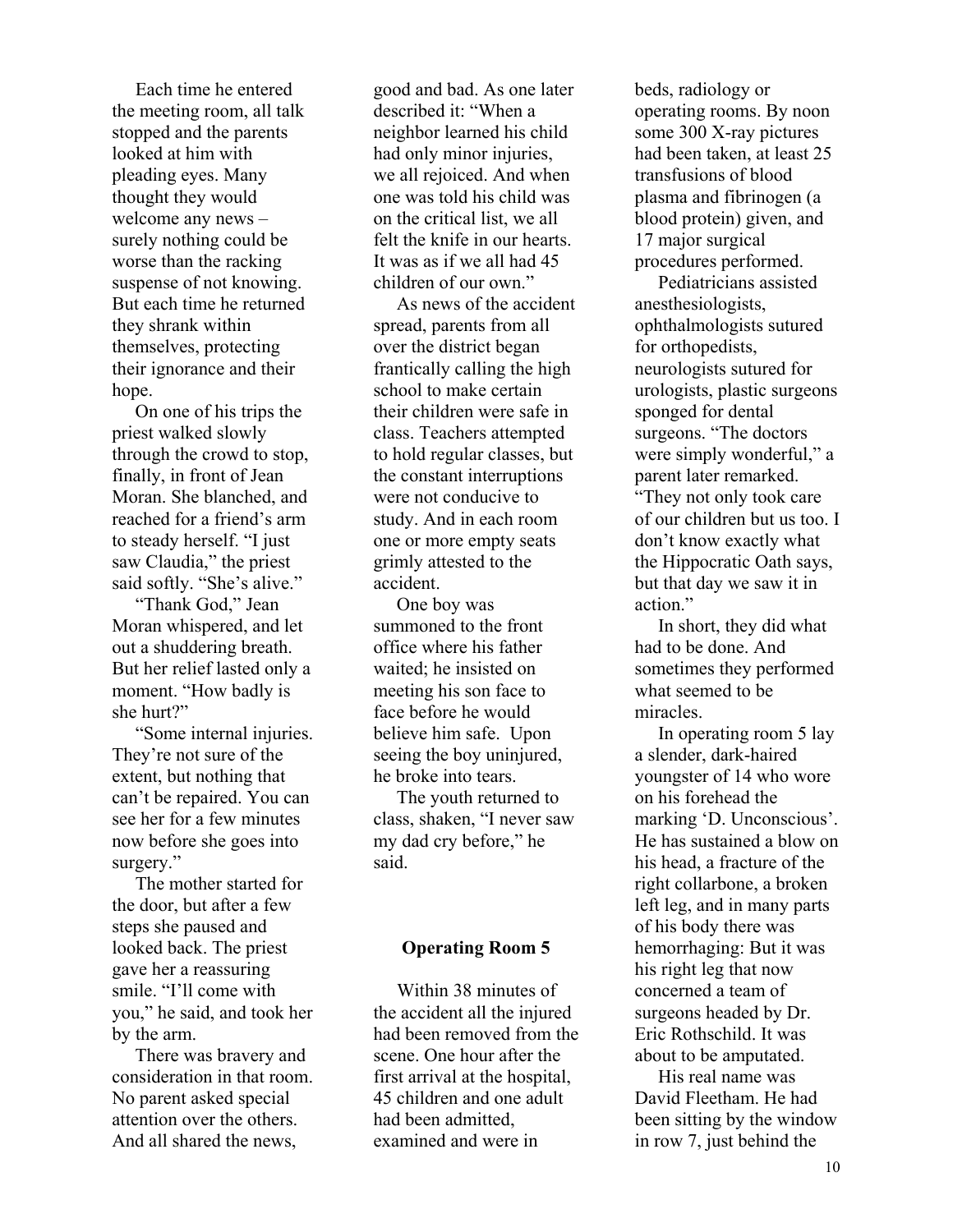Each time he entered the meeting room, all talk stopped and the parents looked at him with pleading eyes. Many thought they would welcome any news – surely nothing could be worse than the racking suspense of not knowing. But each time he returned they shrank within themselves, protecting their ignorance and their hope.

 On one of his trips the priest walked slowly through the crowd to stop, finally, in front of Jean Moran. She blanched, and reached for a friend's arm to steady herself. "I just saw Claudia," the priest said softly. "She's alive."

 "Thank God," Jean Moran whispered, and let out a shuddering breath. But her relief lasted only a moment. "How badly is she hurt?"

 "Some internal injuries. They're not sure of the extent, but nothing that can't be repaired. You can see her for a few minutes now before she goes into surgery."

 The mother started for the door, but after a few steps she paused and looked back. The priest gave her a reassuring smile. "I'll come with you," he said, and took her by the arm.

 There was bravery and consideration in that room. No parent asked special attention over the others. And all shared the news,

good and bad. As one later described it: "When a neighbor learned his child had only minor injuries, we all rejoiced. And when one was told his child was on the critical list, we all felt the knife in our hearts. It was as if we all had 45 children of our own."

 As news of the accident spread, parents from all over the district began frantically calling the high school to make certain their children were safe in class. Teachers attempted to hold regular classes, but the constant interruptions were not conducive to study. And in each room one or more empty seats grimly attested to the accident.

 One boy was summoned to the front office where his father waited; he insisted on meeting his son face to face before he would believe him safe. Upon seeing the boy uninjured, he broke into tears. The youth returned to class, shaken, "I never saw my dad cry before," he said.

#### **Operating Room 5**

 Within 38 minutes of the accident all the injured had been removed from the scene. One hour after the first arrival at the hospital, 45 children and one adult had been admitted, examined and were in

beds, radiology or operating rooms. By noon some 300 X-ray pictures had been taken, at least 25 transfusions of blood plasma and fibrinogen (a blood protein) given, and 17 major surgical procedures performed.

 Pediatricians assisted anesthesiologists, ophthalmologists sutured for orthopedists, neurologists sutured for urologists, plastic surgeons sponged for dental surgeons. "The doctors were simply wonderful," a parent later remarked. "They not only took care of our children but us too. I don't know exactly what the Hippocratic Oath says, but that day we saw it in action."

 In short, they did what had to be done. And sometimes they performed what seemed to be miracles.

 In operating room 5 lay a slender, dark-haired youngster of 14 who wore on his forehead the marking 'D. Unconscious'. He has sustained a blow on his head, a fracture of the right collarbone, a broken left leg, and in many parts of his body there was hemorrhaging: But it was his right leg that now concerned a team of surgeons headed by Dr. Eric Rothschild. It was about to be amputated.

 His real name was David Fleetham. He had been sitting by the window in row 7, just behind the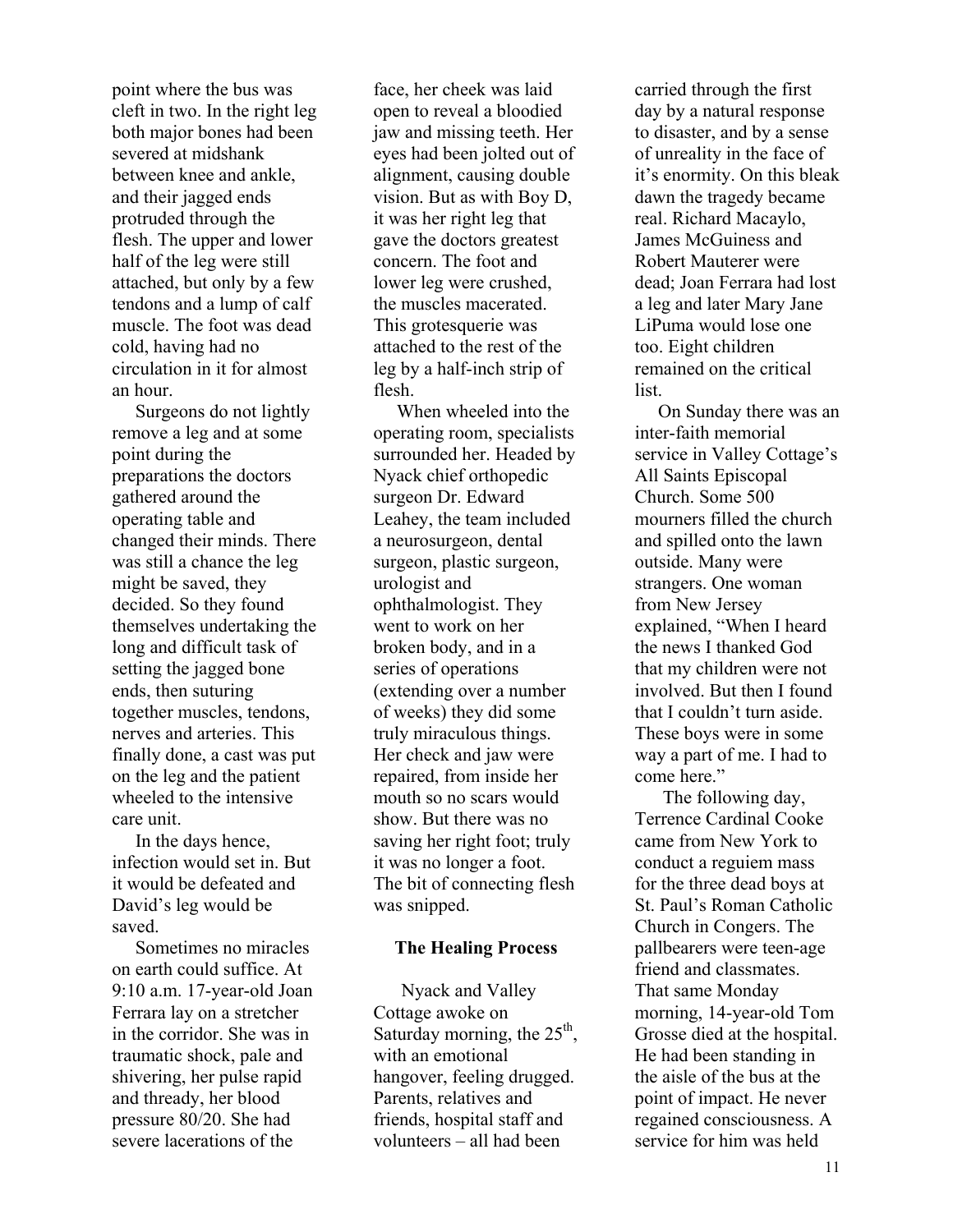point where the bus was cleft in two. In the right leg both major bones had been severed at midshank between knee and ankle, and their jagged ends protruded through the flesh. The upper and lower half of the leg were still attached, but only by a few tendons and a lump of calf muscle. The foot was dead cold, having had no circulation in it for almost an hour.

 Surgeons do not lightly remove a leg and at some point during the preparations the doctors gathered around the operating table and changed their minds. There was still a chance the leg might be saved, they decided. So they found themselves undertaking the long and difficult task of setting the jagged bone ends, then suturing together muscles, tendons, nerves and arteries. This finally done, a cast was put on the leg and the patient wheeled to the intensive care unit.

 In the days hence, infection would set in. But it would be defeated and David's leg would be saved.

 Sometimes no miracles on earth could suffice. At 9:10 a.m. 17-year-old Joan Ferrara lay on a stretcher in the corridor. She was in traumatic shock, pale and shivering, her pulse rapid and thready, her blood pressure 80/20. She had severe lacerations of the

face, her cheek was laid open to reveal a bloodied jaw and missing teeth. Her eyes had been jolted out of alignment, causing double vision. But as with Boy D, it was her right leg that gave the doctors greatest concern. The foot and lower leg were crushed, the muscles macerated. This grotesquerie was attached to the rest of the leg by a half-inch strip of flesh.

 When wheeled into the operating room, specialists surrounded her. Headed by Nyack chief orthopedic surgeon Dr. Edward Leahey, the team included a neurosurgeon, dental surgeon, plastic surgeon, urologist and ophthalmologist. They went to work on her broken body, and in a series of operations (extending over a number of weeks) they did some truly miraculous things. Her check and jaw were repaired, from inside her mouth so no scars would show. But there was no saving her right foot; truly it was no longer a foot. The bit of connecting flesh was snipped.

#### **The Healing Process**

 Nyack and Valley Cottage awoke on Saturday morning, the  $25<sup>th</sup>$ , with an emotional hangover, feeling drugged. Parents, relatives and friends, hospital staff and volunteers – all had been

carried through the first day by a natural response to disaster, and by a sense of unreality in the face of it's enormity. On this bleak dawn the tragedy became real. Richard Macaylo, James McGuiness and Robert Mauterer were dead; Joan Ferrara had lost a leg and later Mary Jane LiPuma would lose one too. Eight children remained on the critical list.

 On Sunday there was an inter-faith memorial service in Valley Cottage's All Saints Episcopal Church. Some 500 mourners filled the church and spilled onto the lawn outside. Many were strangers. One woman from New Jersey explained, "When I heard the news I thanked God that my children were not involved. But then I found that I couldn't turn aside. These boys were in some way a part of me. I had to come here."

 The following day, Terrence Cardinal Cooke came from New York to conduct a reguiem mass for the three dead boys at St. Paul's Roman Catholic Church in Congers. The pallbearers were teen-age friend and classmates. That same Monday morning, 14-year-old Tom Grosse died at the hospital. He had been standing in the aisle of the bus at the point of impact. He never regained consciousness. A service for him was held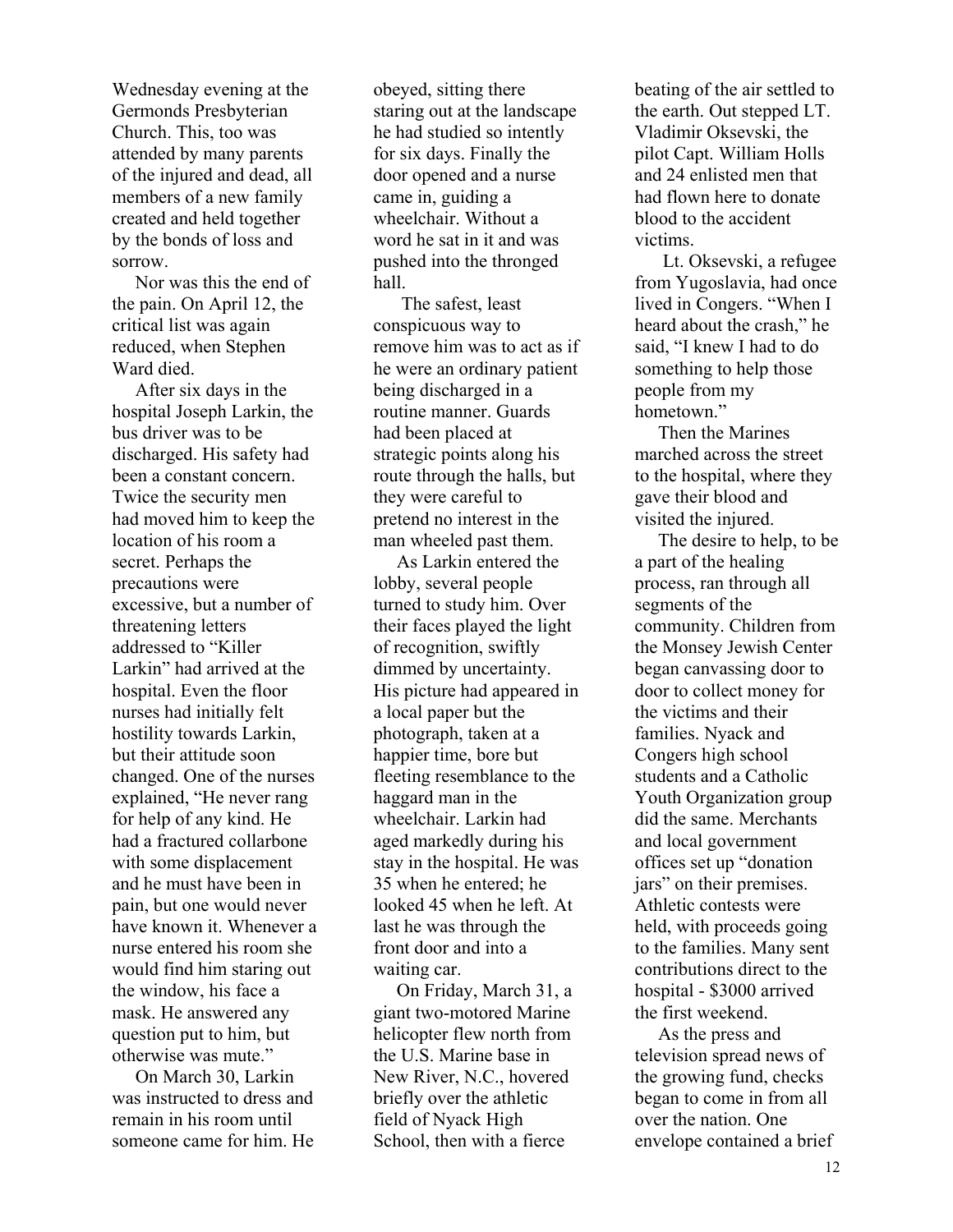Wednesday evening at the Germonds Presbyterian Church. This, too was attended by many parents of the injured and dead, all members of a new family created and held together by the bonds of loss and sorrow.

 Nor was this the end of the pain. On April 12, the critical list was again reduced, when Stephen Ward died.

 After six days in the hospital Joseph Larkin, the bus driver was to be discharged. His safety had been a constant concern. Twice the security men had moved him to keep the location of his room a secret. Perhaps the precautions were excessive, but a number of threatening letters addressed to "Killer Larkin" had arrived at the hospital. Even the floor nurses had initially felt hostility towards Larkin, but their attitude soon changed. One of the nurses explained, "He never rang for help of any kind. He had a fractured collarbone with some displacement and he must have been in pain, but one would never have known it. Whenever a nurse entered his room she would find him staring out the window, his face a mask. He answered any question put to him, but otherwise was mute."

 On March 30, Larkin was instructed to dress and remain in his room until someone came for him. He

obeyed, sitting there staring out at the landscape he had studied so intently for six days. Finally the door opened and a nurse came in, guiding a wheelchair. Without a word he sat in it and was pushed into the thronged hall.

 The safest, least conspicuous way to remove him was to act as if he were an ordinary patient being discharged in a routine manner. Guards had been placed at strategic points along his route through the halls, but they were careful to pretend no interest in the man wheeled past them.

 As Larkin entered the lobby, several people turned to study him. Over their faces played the light of recognition, swiftly dimmed by uncertainty. His picture had appeared in a local paper but the photograph, taken at a happier time, bore but fleeting resemblance to the haggard man in the wheelchair. Larkin had aged markedly during his stay in the hospital. He was 35 when he entered; he looked 45 when he left. At last he was through the front door and into a waiting car.

 On Friday, March 31, a giant two-motored Marine helicopter flew north from the U.S. Marine base in New River, N.C., hovered briefly over the athletic field of Nyack High School, then with a fierce

beating of the air settled to the earth. Out stepped LT. Vladimir Oksevski, the pilot Capt. William Holls and 24 enlisted men that had flown here to donate blood to the accident victims.

 Lt. Oksevski, a refugee from Yugoslavia, had once lived in Congers. "When I heard about the crash," he said, "I knew I had to do something to help those people from my hometown."

 Then the Marines marched across the street to the hospital, where they gave their blood and visited the injured.

 The desire to help, to be a part of the healing process, ran through all segments of the community. Children from the Monsey Jewish Center began canvassing door to door to collect money for the victims and their families. Nyack and Congers high school students and a Catholic Youth Organization group did the same. Merchants and local government offices set up "donation jars" on their premises. Athletic contests were held, with proceeds going to the families. Many sent contributions direct to the hospital - \$3000 arrived the first weekend.

 As the press and television spread news of the growing fund, checks began to come in from all over the nation. One envelope contained a brief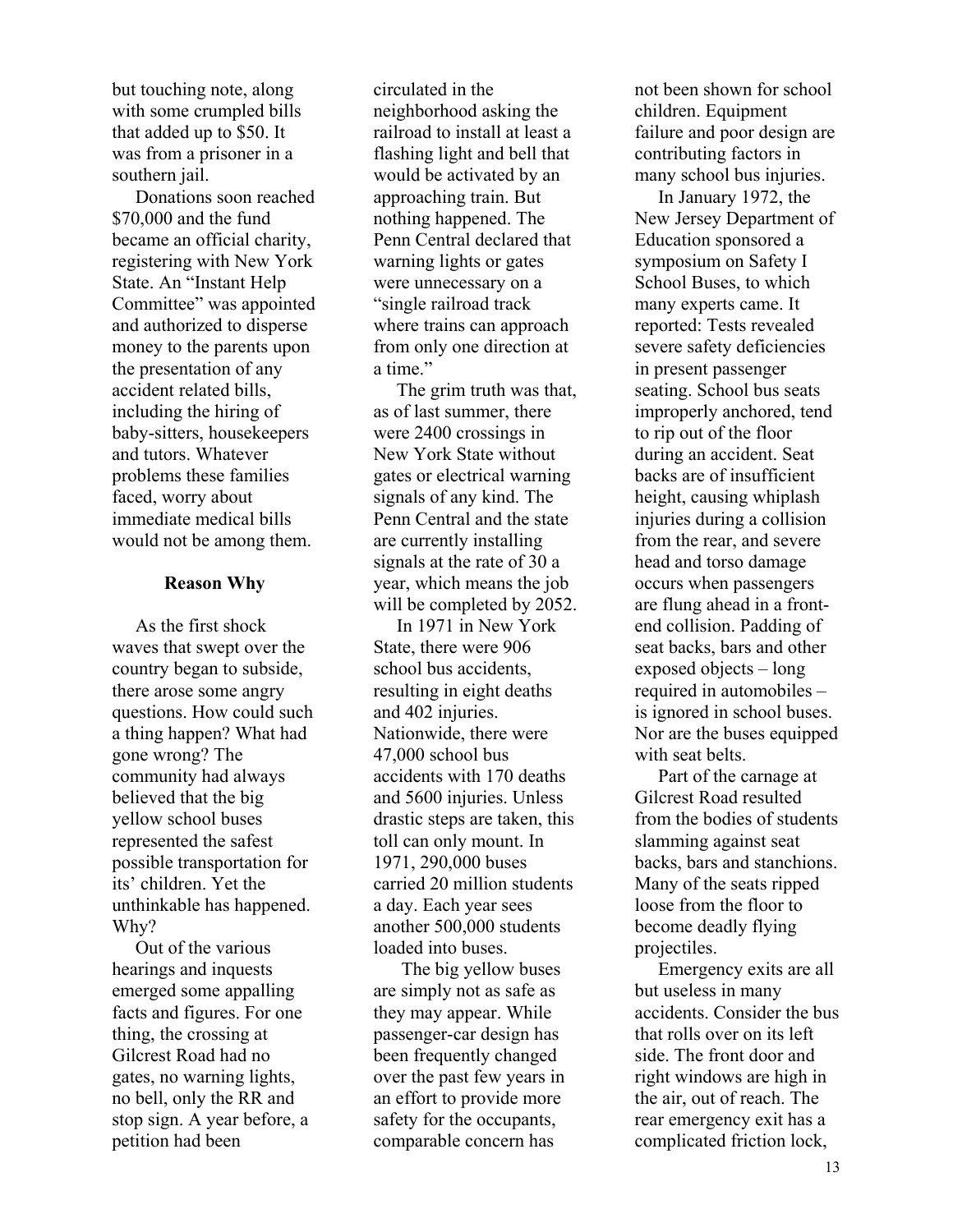but touching note, along with some crumpled bills that added up to \$50. It was from a prisoner in a southern jail.

 Donations soon reached \$70,000 and the fund became an official charity, registering with New York State. An "Instant Help Committee" was appointed and authorized to disperse money to the parents upon the presentation of any accident related bills, including the hiring of baby-sitters, housekeepers and tutors. Whatever problems these families faced, worry about immediate medical bills would not be among them.

#### **Reason Why**

 As the first shock waves that swept over the country began to subside, there arose some angry questions. How could such a thing happen? What had gone wrong? The community had always believed that the big yellow school buses represented the safest possible transportation for its' children. Yet the unthinkable has happened. Why?

 Out of the various hearings and inquests emerged some appalling facts and figures. For one thing, the crossing at Gilcrest Road had no gates, no warning lights, no bell, only the RR and stop sign. A year before, a petition had been

circulated in the neighborhood asking the railroad to install at least a flashing light and bell that would be activated by an approaching train. But nothing happened. The Penn Central declared that warning lights or gates were unnecessary on a "single railroad track where trains can approach from only one direction at a time."

 The grim truth was that, as of last summer, there were 2400 crossings in New York State without gates or electrical warning signals of any kind. The Penn Central and the state are currently installing signals at the rate of 30 a year, which means the job will be completed by 2052.

 In 1971 in New York State, there were 906 school bus accidents, resulting in eight deaths and 402 injuries. Nationwide, there were 47,000 school bus accidents with 170 deaths and 5600 injuries. Unless drastic steps are taken, this toll can only mount. In 1971, 290,000 buses carried 20 million students a day. Each year sees another 500,000 students loaded into buses.

 The big yellow buses are simply not as safe as they may appear. While passenger-car design has been frequently changed over the past few years in an effort to provide more safety for the occupants, comparable concern has

not been shown for school children. Equipment failure and poor design are contributing factors in many school bus injuries.

 In January 1972, the New Jersey Department of Education sponsored a symposium on Safety I School Buses, to which many experts came. It reported: Tests revealed severe safety deficiencies in present passenger seating. School bus seats improperly anchored, tend to rip out of the floor during an accident. Seat backs are of insufficient height, causing whiplash injuries during a collision from the rear, and severe head and torso damage occurs when passengers are flung ahead in a frontend collision. Padding of seat backs, bars and other exposed objects – long required in automobiles – is ignored in school buses. Nor are the buses equipped with seat belts.

 Part of the carnage at Gilcrest Road resulted from the bodies of students slamming against seat backs, bars and stanchions. Many of the seats ripped loose from the floor to become deadly flying projectiles.

 Emergency exits are all but useless in many accidents. Consider the bus that rolls over on its left side. The front door and right windows are high in the air, out of reach. The rear emergency exit has a complicated friction lock,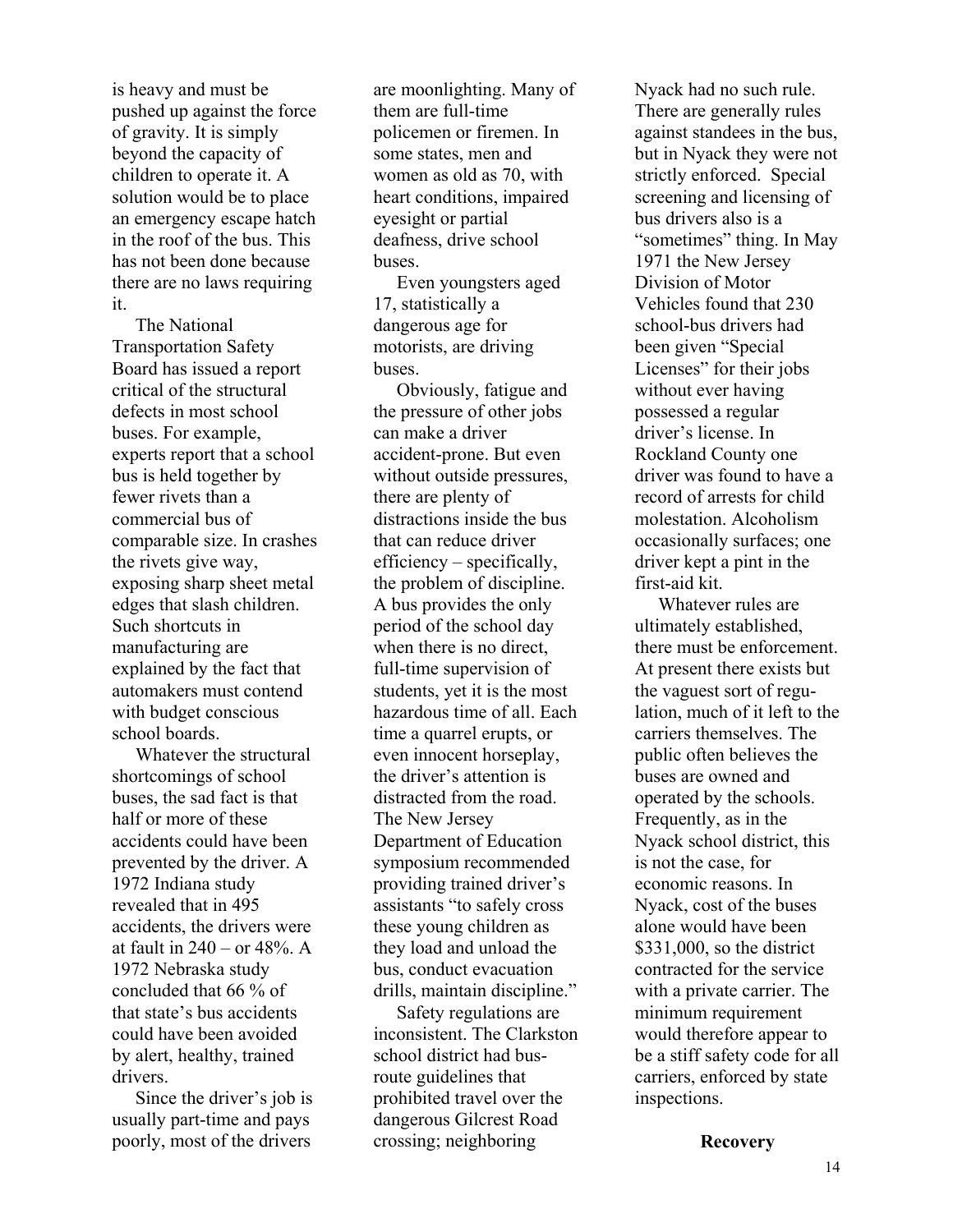is heavy and must be pushed up against the force of gravity. It is simply beyond the capacity of children to operate it. A solution would be to place an emergency escape hatch in the roof of the bus. This has not been done because there are no laws requiring it.

 The National Transportation Safety Board has issued a report critical of the structural defects in most school buses. For example, experts report that a school bus is held together by fewer rivets than a commercial bus of comparable size. In crashes the rivets give way, exposing sharp sheet metal edges that slash children. Such shortcuts in manufacturing are explained by the fact that automakers must contend with budget conscious school boards.

 Whatever the structural shortcomings of school buses, the sad fact is that half or more of these accidents could have been prevented by the driver. A 1972 Indiana study revealed that in 495 accidents, the drivers were at fault in  $240 - or 48%$ . A 1972 Nebraska study concluded that 66 % of that state's bus accidents could have been avoided by alert, healthy, trained drivers.

 Since the driver's job is usually part-time and pays poorly, most of the drivers

are moonlighting. Many of them are full-time policemen or firemen. In some states, men and women as old as 70, with heart conditions, impaired eyesight or partial deafness, drive school buses.

 Even youngsters aged 17, statistically a dangerous age for motorists, are driving buses.

 Obviously, fatigue and the pressure of other jobs can make a driver accident-prone. But even without outside pressures, there are plenty of distractions inside the bus that can reduce driver efficiency – specifically, the problem of discipline. A bus provides the only period of the school day when there is no direct, full-time supervision of students, yet it is the most hazardous time of all. Each time a quarrel erupts, or even innocent horseplay, the driver's attention is distracted from the road. The New Jersey Department of Education symposium recommended providing trained driver's assistants "to safely cross these young children as they load and unload the bus, conduct evacuation drills, maintain discipline."

 Safety regulations are inconsistent. The Clarkston school district had busroute guidelines that prohibited travel over the dangerous Gilcrest Road crossing; neighboring

Nyack had no such rule. There are generally rules against standees in the bus, but in Nyack they were not strictly enforced. Special screening and licensing of bus drivers also is a "sometimes" thing. In May 1971 the New Jersey Division of Motor Vehicles found that 230 school-bus drivers had been given "Special Licenses" for their jobs without ever having possessed a regular driver's license. In Rockland County one driver was found to have a record of arrests for child molestation. Alcoholism occasionally surfaces; one driver kept a pint in the first-aid kit.

 Whatever rules are ultimately established, there must be enforcement. At present there exists but the vaguest sort of regulation, much of it left to the carriers themselves. The public often believes the buses are owned and operated by the schools. Frequently, as in the Nyack school district, this is not the case, for economic reasons. In Nyack, cost of the buses alone would have been \$331,000, so the district contracted for the service with a private carrier. The minimum requirement would therefore appear to be a stiff safety code for all carriers, enforced by state inspections.

**Recovery**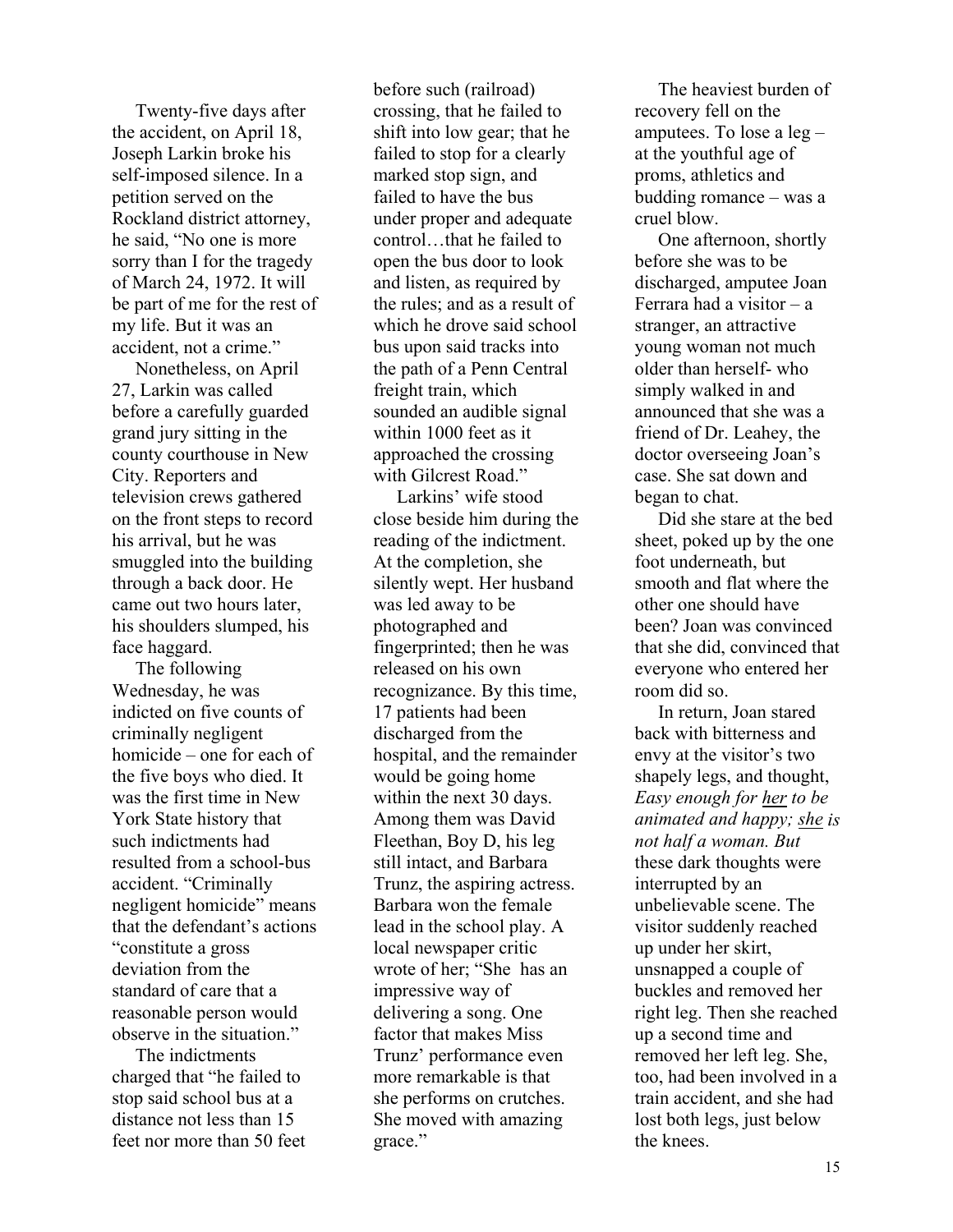Twenty-five days after the accident, on April 18, Joseph Larkin broke his self-imposed silence. In a petition served on the Rockland district attorney, he said, "No one is more sorry than I for the tragedy of March 24, 1972. It will be part of me for the rest of my life. But it was an accident, not a crime."

 Nonetheless, on April 27, Larkin was called before a carefully guarded grand jury sitting in the county courthouse in New City. Reporters and television crews gathered on the front steps to record his arrival, but he was smuggled into the building through a back door. He came out two hours later, his shoulders slumped, his face haggard.

 The following Wednesday, he was indicted on five counts of criminally negligent homicide – one for each of the five boys who died. It was the first time in New York State history that such indictments had resulted from a school-bus accident. "Criminally negligent homicide" means that the defendant's actions "constitute a gross deviation from the standard of care that a reasonable person would observe in the situation."

 The indictments charged that "he failed to stop said school bus at a distance not less than 15 feet nor more than 50 feet before such (railroad) crossing, that he failed to shift into low gear; that he failed to stop for a clearly marked stop sign, and failed to have the bus under proper and adequate control…that he failed to open the bus door to look and listen, as required by the rules; and as a result of which he drove said school bus upon said tracks into the path of a Penn Central freight train, which sounded an audible signal within 1000 feet as it approached the crossing with Gilcrest Road."

 Larkins' wife stood close beside him during the reading of the indictment. At the completion, she silently wept. Her husband was led away to be photographed and fingerprinted; then he was released on his own recognizance. By this time, 17 patients had been discharged from the hospital, and the remainder would be going home within the next 30 days. Among them was David Fleethan, Boy D, his leg still intact, and Barbara Trunz, the aspiring actress. Barbara won the female lead in the school play. A local newspaper critic wrote of her; "She has an impressive way of delivering a song. One factor that makes Miss Trunz' performance even more remarkable is that she performs on crutches. She moved with amazing grace."

 The heaviest burden of recovery fell on the amputees. To lose a leg – at the youthful age of proms, athletics and budding romance – was a cruel blow.

 One afternoon, shortly before she was to be discharged, amputee Joan Ferrara had a visitor – a stranger, an attractive young woman not much older than herself- who simply walked in and announced that she was a friend of Dr. Leahey, the doctor overseeing Joan's case. She sat down and began to chat.

 Did she stare at the bed sheet, poked up by the one foot underneath, but smooth and flat where the other one should have been? Joan was convinced that she did, convinced that everyone who entered her room did so.

 In return, Joan stared back with bitterness and envy at the visitor's two shapely legs, and thought, *Easy enough for her to be animated and happy; she is not half a woman. But* these dark thoughts were interrupted by an unbelievable scene. The visitor suddenly reached up under her skirt, unsnapped a couple of buckles and removed her right leg. Then she reached up a second time and removed her left leg. She, too, had been involved in a train accident, and she had lost both legs, just below the knees.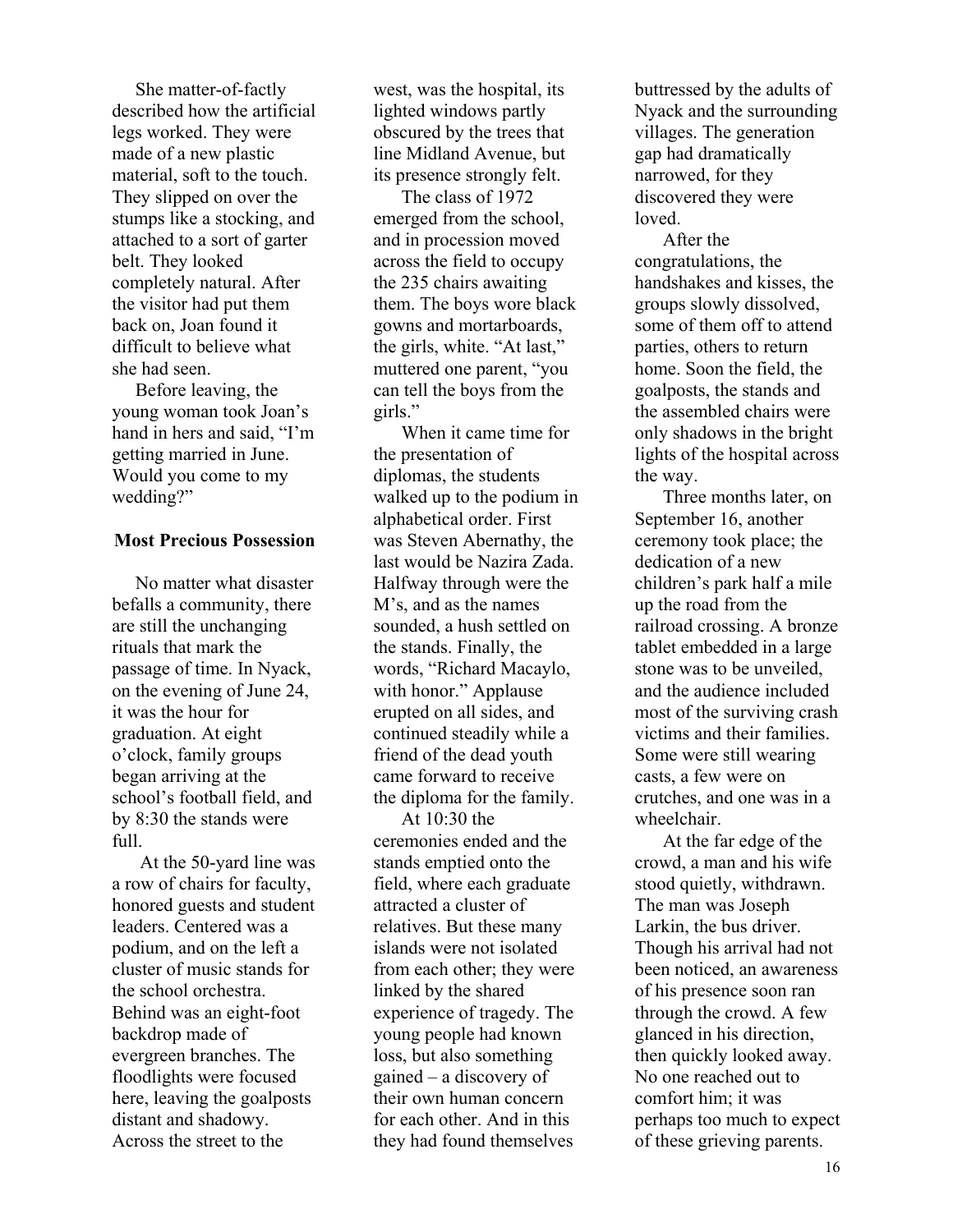She matter-of-factly described how the artificial legs worked. They were made of a new plastic material, soft to the touch. They slipped on over the stumps like a stocking, and attached to a sort of garter belt. They looked completely natural. After the visitor had put them back on, Joan found it difficult to believe what she had seen.

 Before leaving, the young woman took Joan's hand in hers and said, "I'm getting married in June. Would you come to my wedding?"

## **Most Precious Possession**

 No matter what disaster befalls a community, there are still the unchanging rituals that mark the passage of time. In Nyack, on the evening of June 24, it was the hour for graduation. At eight o'clock, family groups began arriving at the school's football field, and by 8:30 the stands were full.

 At the 50-yard line was a row of chairs for faculty, honored guests and student leaders. Centered was a podium, and on the left a cluster of music stands for the school orchestra. Behind was an eight-foot backdrop made of evergreen branches. The floodlights were focused here, leaving the goalposts distant and shadowy. Across the street to the

west, was the hospital, its lighted windows partly obscured by the trees that line Midland Avenue, but its presence strongly felt.

 The class of 1972 emerged from the school, and in procession moved across the field to occupy the 235 chairs awaiting them. The boys wore black gowns and mortarboards, the girls, white. "At last," muttered one parent, "you can tell the boys from the girls."

 When it came time for the presentation of diplomas, the students walked up to the podium in alphabetical order. First was Steven Abernathy, the last would be Nazira Zada. Halfway through were the M's, and as the names sounded, a hush settled on the stands. Finally, the words, "Richard Macaylo, with honor." Applause erupted on all sides, and continued steadily while a friend of the dead youth came forward to receive the diploma for the family.

At  $10.30$  the ceremonies ended and the stands emptied onto the field, where each graduate attracted a cluster of relatives. But these many islands were not isolated from each other; they were linked by the shared experience of tragedy. The young people had known loss, but also something gained – a discovery of their own human concern for each other. And in this they had found themselves

buttressed by the adults of Nyack and the surrounding villages. The generation gap had dramatically narrowed, for they discovered they were loved.

 After the congratulations, the handshakes and kisses, the groups slowly dissolved, some of them off to attend parties, others to return home. Soon the field, the goalposts, the stands and the assembled chairs were only shadows in the bright lights of the hospital across the way.

 Three months later, on September 16, another ceremony took place; the dedication of a new children's park half a mile up the road from the railroad crossing. A bronze tablet embedded in a large stone was to be unveiled, and the audience included most of the surviving crash victims and their families. Some were still wearing casts, a few were on crutches, and one was in a wheelchair.

 At the far edge of the crowd, a man and his wife stood quietly, withdrawn. The man was Joseph Larkin, the bus driver. Though his arrival had not been noticed, an awareness of his presence soon ran through the crowd. A few glanced in his direction, then quickly looked away. No one reached out to comfort him; it was perhaps too much to expect of these grieving parents.